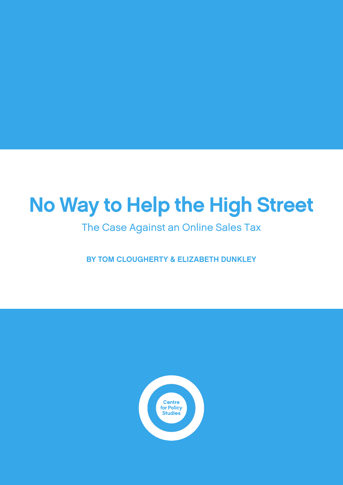# No Way to Help the High Street

The Case Against an Online Sales Tax

BY TOM CLOUGHERTY & ELIZABETH DUNKLEY

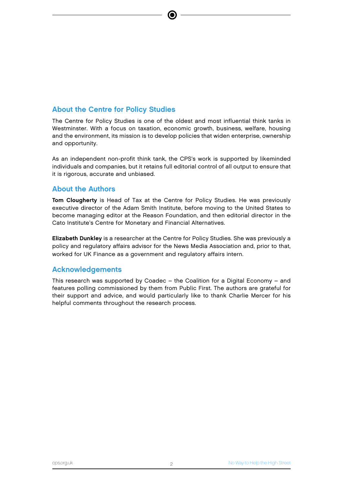#### About the Centre for Policy Studies

The Centre for Policy Studies is one of the oldest and most influential think tanks in Westminster. With a focus on taxation, economic growth, business, welfare, housing and the environment, its mission is to develop policies that widen enterprise, ownership and opportunity.

As an independent non-profit think tank, the CPS's work is supported by likeminded individuals and companies, but it retains full editorial control of all output to ensure that it is rigorous, accurate and unbiased.

#### About the Authors

Tom Clougherty is Head of Tax at the Centre for Policy Studies. He was previously executive director of the Adam Smith Institute, before moving to the United States to become managing editor at the Reason Foundation, and then editorial director in the Cato Institute's Centre for Monetary and Financial Alternatives.

Elizabeth Dunkley is a researcher at the Centre for Policy Studies. She was previously a policy and regulatory affairs advisor for the News Media Association and, prior to that, worked for UK Finance as a government and regulatory affairs intern.

#### Acknowledgements

This research was supported by Coadec – the Coalition for a Digital Economy – and features polling commissioned by them from Public First. The authors are grateful for their support and advice, and would particularly like to thank Charlie Mercer for his helpful comments throughout the research process.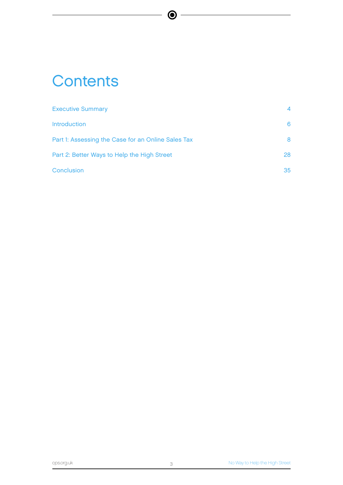# **Contents**

| <b>Executive Summary</b>                           | 4  |
|----------------------------------------------------|----|
| <b>Introduction</b>                                | 6. |
| Part 1: Assessing the Case for an Online Sales Tax | 8  |
| Part 2: Better Ways to Help the High Street        | 28 |
| Conclusion                                         | 35 |

 $\bullet$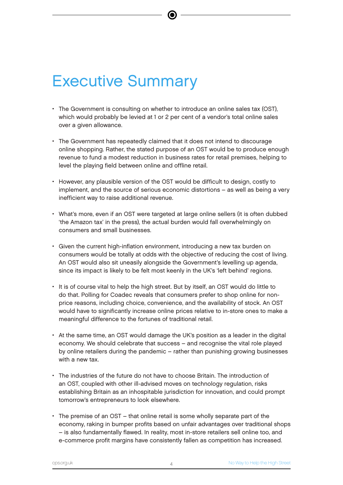# Executive Summary

- The Government is consulting on whether to introduce an online sales tax (OST), which would probably be levied at 1 or 2 per cent of a vendor's total online sales over a given allowance.
- The Government has repeatedly claimed that it does not intend to discourage online shopping. Rather, the stated purpose of an OST would be to produce enough revenue to fund a modest reduction in business rates for retail premises, helping to level the playing field between online and offline retail.
- However, any plausible version of the OST would be difficult to design, costly to implement, and the source of serious economic distortions – as well as being a very inefficient way to raise additional revenue.
- What's more, even if an OST were targeted at large online sellers (it is often dubbed 'the Amazon tax' in the press), the actual burden would fall overwhelmingly on consumers and small businesses.
- Given the current high-inflation environment, introducing a new tax burden on consumers would be totally at odds with the objective of reducing the cost of living. An OST would also sit uneasily alongside the Government's levelling up agenda, since its impact is likely to be felt most keenly in the UK's 'left behind' regions.
- It is of course vital to help the high street. But by itself, an OST would do little to do that. Polling for Coadec reveals that consumers prefer to shop online for nonprice reasons, including choice, convenience, and the availability of stock. An OST would have to significantly increase online prices relative to in-store ones to make a meaningful difference to the fortunes of traditional retail.
- At the same time, an OST would damage the UK's position as a leader in the digital economy. We should celebrate that success – and recognise the vital role played by online retailers during the pandemic – rather than punishing growing businesses with a new tax.
- The industries of the future do not have to choose Britain. The introduction of an OST, coupled with other ill-advised moves on technology regulation, risks establishing Britain as an inhospitable jurisdiction for innovation, and could prompt tomorrow's entrepreneurs to look elsewhere.
- The premise of an OST that online retail is some wholly separate part of the economy, raking in bumper profits based on unfair advantages over traditional shops – is also fundamentally flawed. In reality, most in-store retailers sell online too, and e-commerce profit margins have consistently fallen as competition has increased.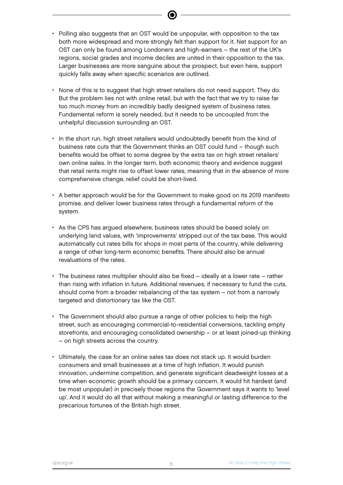- Polling also suggests that an OST would be unpopular, with opposition to the tax both more widespread and more strongly felt than support for it. Net support for an OST can only be found among Londoners and high-earners – the rest of the UK's regions, social grades and income deciles are united in their opposition to the tax. Larger businesses are more sanguine about the prospect, but even here, support quickly falls away when specific scenarios are outlined.
- None of this is to suggest that high street retailers do not need support. They do. But the problem lies not with online retail, but with the fact that we try to raise far too much money from an incredibly badly designed system of business rates. Fundamental reform is sorely needed, but it needs to be uncoupled from the unhelpful discussion surrounding an OST.
- In the short run, high street retailers would undoubtedly benefit from the kind of business rate cuts that the Government thinks an OST could fund – though such benefits would be offset to some degree by the extra tax on high street retailers' own online sales. In the longer term, both economic theory and evidence suggest that retail rents might rise to offset lower rates, meaning that in the absence of more comprehensive change, relief could be short-lived.
- A better approach would be for the Government to make good on its 2019 manifesto promise, and deliver lower business rates through a fundamental reform of the system.
- As the CPS has argued elsewhere, business rates should be based solely on underlying land values, with 'improvements' stripped out of the tax base. This would automatically cut rates bills for shops in most parts of the country, while delivering a range of other long-term economic benefits. There should also be annual revaluations of the rates.
- The business rates multiplier should also be fixed ideally at a lower rate rather than rising with inflation in future. Additional revenues, if necessary to fund the cuts, should come from a broader rebalancing of the tax system – not from a narrowly targeted and distortionary tax like the OST.
- The Government should also pursue a range of other policies to help the high street, such as encouraging commercial-to-residential conversions, tackling empty storefronts, and encouraging consolidated ownership – or at least joined-up thinking – on high streets across the country.
- Ultimately, the case for an online sales tax does not stack up. It would burden consumers and small businesses at a time of high inflation. It would punish innovation, undermine competition, and generate significant deadweight losses at a time when economic growth should be a primary concern. It would hit hardest (and be most unpopular) in precisely those regions the Government says it wants to 'level up'. And it would do all that without making a meaningful or lasting difference to the precarious fortunes of the British high street.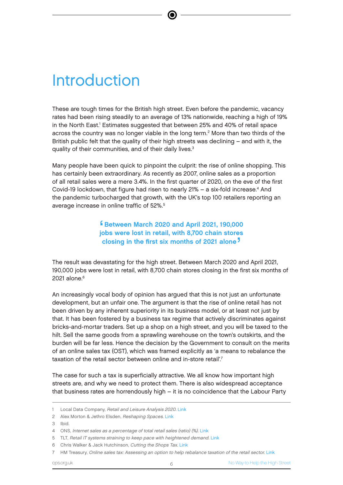# **Introduction**

These are tough times for the British high street. Even before the pandemic, vacancy rates had been rising steadily to an average of 13% nationwide, reaching a high of 19% in the North East.<sup>I</sup> Estimates suggested that between 25% and 40% of retail space across the country was no longer viable in the long term.<sup>2</sup> More than two thirds of the British public felt that the quality of their high streets was declining – and with it, the quality of their communities, and of their daily lives.<sup>3</sup>

Many people have been quick to pinpoint the culprit: the rise of online shopping. This has certainly been extraordinary. As recently as 2007, online sales as a proportion of all retail sales were a mere 3.4%. In the first quarter of 2020, on the eve of the first Covid-19 lockdown, that figure had risen to nearly 21% – a six-fold increase.<sup>4</sup> And the pandemic turbocharged that growth, with the UK's top 100 retailers reporting an average increase in online traffic of 52%.<sup>5</sup>

> í<br>jc Between March 2020 and April 2021, 190,000 jobs were lost in retail, with 8,700 chain stores closing in the first six months of 2021 alone '

The result was devastating for the high street. Between March 2020 and April 2021, 190,000 jobs were lost in retail, with 8,700 chain stores closing in the first six months of 2021 alone.<sup>6</sup>

An increasingly vocal body of opinion has argued that this is not just an unfortunate development, but an unfair one. The argument is that the rise of online retail has not been driven by any inherent superiority in its business model, or at least not just by that. It has been fostered by a business tax regime that actively discriminates against bricks-and-mortar traders. Set up a shop on a high street, and you will be taxed to the hilt. Sell the same goods from a sprawling warehouse on the town's outskirts, and the burden will be far less. Hence the decision by the Government to consult on the merits of an online sales tax (OST), which was framed explicitly as 'a means to rebalance the taxation of the retail sector between online and in-store retail'.<sup>7</sup>

The case for such a tax is superficially attractive. We all know how important high streets are, and why we need to protect them. There is also widespread acceptance that business rates are horrendously high – it is no coincidence that the Labour Party

<sup>1</sup> Local Data Company, Retail and Leisure Analysis 2020. [Link](https://www.localdatacompany.com/download-report-h1-2020?utm_campaign=H1%202020%20Report%20-%20Nov%202020&utm_medium=email&_hsmi=98985970&_hsenc=p2ANqtz-_UXgOgTV4xtU_-r90itUGA_dZkTWgQ5ejpcuHhiMLZqjPI_exYMxG3LushrSvuYr1l0EqMsr7pviD3WxFwOaYTl62eqsXxRsUcCtQu-CP2RPzPBEw&utm_content=98985970&utm_source=hs_email)

<sup>2</sup> Alex Morton & Jethro Elsden, Reshaping Spaces. [Link](https://cps.org.uk/wp-content/uploads/2021/07/210716150853-CPSRESHAPINGSPACES2.pdf)

<sup>3</sup> Ibid.

<sup>4</sup> ONS, Internet sales as a percentage of total retail sales (ratio) (%). [Link](https://www.ons.gov.uk/businessindustryandtrade/retailindustry/timeseries/j4mc/drsi)

<sup>5</sup> TLT, Retail IT systems straining to keep pace with heightened demand. [Link](https://www.tltsolicitors.com/insights-and-events/news/retail-it-systems-straining-to-keep-pace-with-heightened-demand/)

<sup>6</sup> Chris Walker & Jack Hutchinson, Cutting the Shops Tax. [Link](https://wpi-strategy.com/site/wp-content/uploads/2021/09/Levelling-Up-210930.pdf)

HM Treasury, Online sales tax: Assessing an option to help rebalance taxation of the retail sector. [Link](https://www.gov.uk/government/consultations/online-sales-tax-policy-consultation)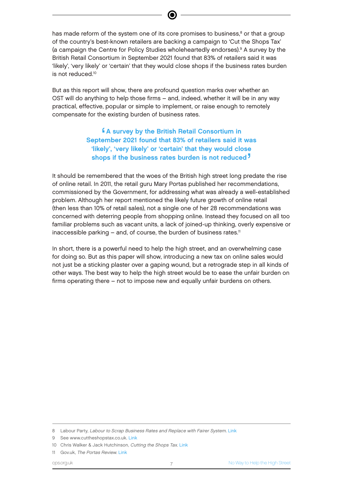has made reform of the system one of its core promises to business, $^8$  or that a group of the country's best-known retailers are backing a campaign to 'Cut the Shops Tax' (a campaign the Centre for Policy Studies wholeheartedly endorses).<sup>9</sup> A survey by the British Retail Consortium in September 2021 found that 83% of retailers said it was 'likely', 'very likely' or 'certain' that they would close shops if the business rates burden is not reduced<sup>10</sup>

But as this report will show, there are profound question marks over whether an OST will do anything to help those firms – and, indeed, whether it will be in any way practical, effective, popular or simple to implement, or raise enough to remotely compensate for the existing burden of business rates.

> $e$ A survey by the British Retail Consortium in September 2021 found that 83% of retailers said it was 'likely', 'very likely' or 'certain' that they would close shops if the business rates burden is not reduced<sup>7</sup> '

It should be remembered that the woes of the British high street long predate the rise of online retail. In 2011, the retail guru Mary Portas published her recommendations, commissioned by the Government, for addressing what was already a well-established problem. Although her report mentioned the likely future growth of online retail (then less than 10% of retail sales), not a single one of her 28 recommendations was concerned with deterring people from shopping online. Instead they focused on all too familiar problems such as vacant units, a lack of joined-up thinking, overly expensive or inaccessible parking  $-$  and, of course, the burden of business rates.<sup>11</sup>

In short, there is a powerful need to help the high street, and an overwhelming case for doing so. But as this paper will show, introducing a new tax on online sales would not just be a sticking plaster over a gaping wound, but a retrograde step in all kinds of other ways. The best way to help the high street would be to ease the unfair burden on firms operating there – not to impose new and equally unfair burdens on others.

<sup>8</sup> Labour Party, Labour to Scrap Business Rates and Replace with Fairer System. [Link](https://labour.org.uk/press/labour-to-scrap-business-rates-and-replace-with-fairer-system/)

<sup>9</sup> See www.cuttheshopstax.co.uk. [Link](http://www.cuttheshopstax.co.uk)

<sup>10</sup> Chris Walker & Jack Hutchinson, Cutting the Shops Tax. [Link](https://wpi-strategy.com/site/wp-content/uploads/2021/09/Levelling-Up-210930.pdf)

<sup>11</sup> Gov.uk, The Portas Review. [Link](https://assets.publishing.service.gov.uk/government/uploads/system/uploads/attachment_data/file/6292/2081646.pdf)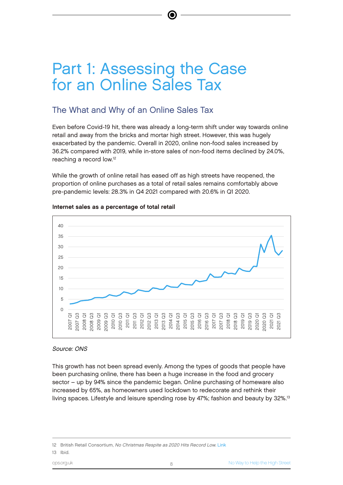# Part 1: Assessing the Case for an Online Sales Tax

### The What and Why of an Online Sales Tax

Even before Covid-19 hit, there was already a long-term shift under way towards online retail and away from the bricks and mortar high street. However, this was hugely exacerbated by the pandemic. Overall in 2020, online non-food sales increased by 36.2% compared with 2019, while in-store sales of non-food items declined by 24.0%, reaching a record low.<sup>12</sup>

(⊜

While the growth of online retail has eased off as high streets have reopened, the proportion of online purchases as a total of retail sales remains comfortably above pre-pandemic levels: 28.3% in Q4 2021 compared with 20.6% in Q1 2020.



#### Internet sales as a percentage of total retail

#### Source: ONS

This growth has not been spread evenly. Among the types of goods that people have been purchasing online, there has been a huge increase in the food and grocery sector – up by 94% since the pandemic began. Online purchasing of homeware also increased by 65%, as homeowners used lockdown to redecorate and rethink their living spaces. Lifestyle and leisure spending rose by 47%; fashion and beauty by 32%.<sup>13</sup>

13 Ibid.

<sup>12</sup> British Retail Consortium, No Christmas Respite as 2020 Hits Record Low. [Link](https://brc.org.uk/news/corporate-affairs/no-christmas-respite-as-2020-hits-record-low/)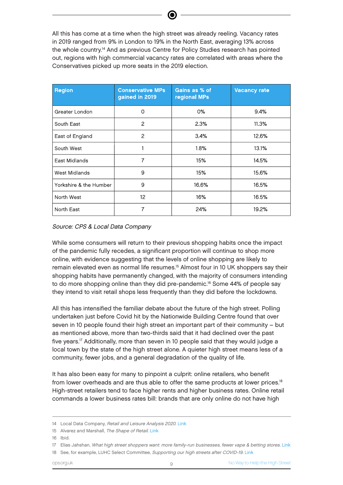All this has come at a time when the high street was already reeling. Vacancy rates in 2019 ranged from 9% in London to 19% in the North East, averaging 13% across the whole country.<sup>14</sup> And as previous Centre for Policy Studies research has pointed out, regions with high commercial vacancy rates are correlated with areas where the Conservatives picked up more seats in the 2019 election.

| <b>Region</b>          | <b>Conservative MPs</b><br>gained in 2019 | Gains as % of<br>regional MPs | <b>Vacancy rate</b> |
|------------------------|-------------------------------------------|-------------------------------|---------------------|
| Greater London         | 0                                         | 0%                            | 9.4%                |
| South East             | 2                                         | 2.3%                          | 11.3%               |
| East of England        | $\overline{c}$                            | 3.4%                          | 12.6%               |
| South West             |                                           | 1.8%                          | 13.1%               |
| East Midlands          | $\overline{7}$                            | 15%                           | 14.5%               |
| West Midlands          | 9                                         | 15%                           | 15.6%               |
| Yorkshire & the Humber | 9                                         | 16.6%                         | 16.5%               |
| North West             | 12 <sup>2</sup>                           | 16%                           | 16.5%               |
| North East             | 7                                         | 24%                           | 19.2%               |

Source: CPS & Local Data Company

While some consumers will return to their previous shopping habits once the impact of the pandemic fully recedes, a significant proportion will continue to shop more online, with evidence suggesting that the levels of online shopping are likely to remain elevated even as normal life resumes.<sup>15</sup> Almost four in 10 UK shoppers say their shopping habits have permanently changed, with the majority of consumers intending to do more shopping online than they did pre-pandemic.<sup>16</sup> Some 44% of people say they intend to visit retail shops less frequently than they did before the lockdowns.

All this has intensified the familiar debate about the future of the high street. Polling undertaken just before Covid hit by the Nationwide Building Centre found that over seven in 10 people found their high street an important part of their community – but as mentioned above, more than two-thirds said that it had declined over the past five years.<sup>17</sup> Additionally, more than seven in 10 people said that they would judge a local town by the state of the high street alone. A quieter high street means less of a community, fewer jobs, and a general degradation of the quality of life.

It has also been easy for many to pinpoint a culprit: online retailers, who benefit from lower overheads and are thus able to offer the same products at lower prices.<sup>18</sup> High-street retailers tend to face higher rents and higher business rates. Online retail commands a lower business rates bill: brands that are only online do not have high

<sup>14</sup> Local Data Company, Retail and Leisure Analysis 2020. [Link](https://www.localdatacompany.com/download-report-h1-2020?utm_campaign=H1%202020%20Report%20-%20Nov%202020&utm_medium=email&_hsmi=98985970&_hsenc=p2ANqtz-_UXgOgTV4xtU_-r90itUGA_dZkTWgQ5ejpcuHhiMLZqjPI_exYMxG3LushrSvuYr1l0EqMsr7pviD3WxFwOaYTl62eqsXxRsUcCtQu-CP2RPzPBEw&utm_content=98985970&utm_source=hs_email)

<sup>15</sup> Alvarez and Marshall, The Shape of Retail, [Link](https://www.alvarezandmarsal.com/sites/default/files/true_cost_of_online.pdf)

<sup>16</sup> Ibid.

<sup>17</sup> Elias Jahshan, What high street shoppers want: more family-run businesses, fewer vape & betting stores. [Link](https://www.retailgazette.co.uk/blog/2020/01/high-street-shoppers-want-fewer-vaping-stores-more-family-run-businesses/)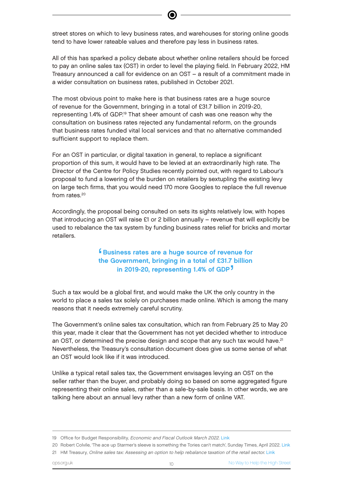street stores on which to levy business rates, and warehouses for storing online goods tend to have lower rateable values and therefore pay less in business rates.

All of this has sparked a policy debate about whether online retailers should be forced to pay an online sales tax (OST) in order to level the playing field. In February 2022, HM Treasury announced a call for evidence on an OST – a result of a commitment made in a wider consultation on business rates, published in October 2021.

The most obvious point to make here is that business rates are a huge source of revenue for the Government, bringing in a total of £31.7 billion in 2019-20, representing 1.4% of GDP.<sup>19</sup> That sheer amount of cash was one reason why the consultation on business rates rejected any fundamental reform, on the grounds that business rates funded vital local services and that no alternative commanded sufficient support to replace them.

For an OST in particular, or digital taxation in general, to replace a significant proportion of this sum, it would have to be levied at an extraordinarily high rate. The Director of the Centre for Policy Studies recently pointed out, with regard to Labour's proposal to fund a lowering of the burden on retailers by sextupling the existing levy on large tech firms, that you would need 170 more Googles to replace the full revenue from rates.<sup>20</sup>

Accordingly, the proposal being consulted on sets its sights relatively low, with hopes that introducing an OST will raise £1 or 2 billion annually – revenue that will explicitly be used to rebalance the tax system by funding business rates relief for bricks and mortar retailers.

#### e<br>tl Business rates are a huge source of revenue for the Government, bringing in a total of £31.7 billion in 2019-20, representing 1.4% of GDP<sup>7</sup> '

Such a tax would be a global first, and would make the UK the only country in the world to place a sales tax solely on purchases made online. Which is among the many reasons that it needs extremely careful scrutiny.

The Government's online sales tax consultation, which ran from February 25 to May 20 this year, made it clear that the Government has not yet decided whether to introduce an OST, or determined the precise design and scope that any such tax would have.<sup>21</sup> Nevertheless, the Treasury's consultation document does give us some sense of what an OST would look like if it was introduced.

Unlike a typical retail sales tax, the Government envisages levying an OST on the seller rather than the buyer, and probably doing so based on some aggregated figure representing their online sales, rather than a sale-by-sale basis. In other words, we are talking here about an annual levy rather than a new form of online VAT.

<sup>19</sup> Office for Budget Responsibility, Economic and Fiscal Outlook March 2022. [Link](https://obr.uk/docs/dlm_uploads/CCS0222366764-001_OBR-EFO-March-2022_Web-Accessible-2.pdf)

<sup>20</sup> Robert Colvile, 'The ace up Starmer's sleeve is something the Tories can't match', Sunday Times, April 2022. [Link](https://www.thetimes.co.uk/article/the-ace-up-starmers-sleeve-is-something-the-tories-cant-match-boring-predictability-20zmf6z3b) 21 HM Treasury, Online sales tax: Assessing an option to help rebalance taxation of the retail sector. [Link](https://www.gov.uk/government/consultations/online-sales-tax-policy-consultation)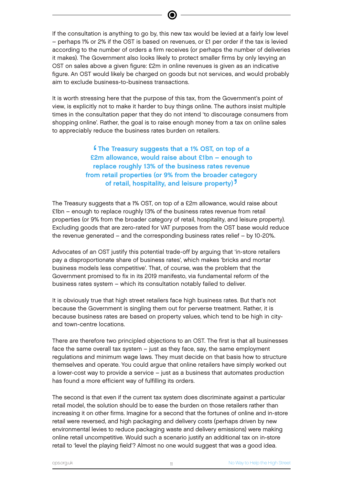If the consultation is anything to go by, this new tax would be levied at a fairly low level – perhaps 1% or 2% if the OST is based on revenues, or £1 per order if the tax is levied according to the number of orders a firm receives (or perhaps the number of deliveries it makes). The Government also looks likely to protect smaller firms by only levying an OST on sales above a given figure: £2m in online revenues is given as an indicative figure. An OST would likely be charged on goods but not services, and would probably aim to exclude business-to-business transactions.

It is worth stressing here that the purpose of this tax, from the Government's point of view, is explicitly not to make it harder to buy things online. The authors insist multiple times in the consultation paper that they do not intend 'to discourage consumers from shopping online'. Rather, the goal is to raise enough money from a tax on online sales to appreciably reduce the business rates burden on retailers.

> $\frac{6}{2}$ The Treasury suggests that a 1% OST, on top of a £2m allowance, would raise about £1bn – enough to replace roughly 13% of the business rates revenue from retail properties (or 9% from the broader category of retail, hospitality, and leisure property)<sup>7</sup> '

The Treasury suggests that a 1% OST, on top of a £2m allowance, would raise about £1bn – enough to replace roughly 13% of the business rates revenue from retail properties (or 9% from the broader category of retail, hospitality, and leisure property). Excluding goods that are zero-rated for VAT purposes from the OST base would reduce the revenue generated – and the corresponding business rates relief – by 10-20%.

Advocates of an OST justify this potential trade-off by arguing that 'in-store retailers pay a disproportionate share of business rates', which makes 'bricks and mortar business models less competitive'. That, of course, was the problem that the Government promised to fix in its 2019 manifesto, via fundamental reform of the business rates system – which its consultation notably failed to deliver.

It is obviously true that high street retailers face high business rates. But that's not because the Government is singling them out for perverse treatment. Rather, it is because business rates are based on property values, which tend to be high in cityand town-centre locations.

There are therefore two principled objections to an OST. The first is that all businesses face the same overall tax system – just as they face, say, the same employment regulations and minimum wage laws. They must decide on that basis how to structure themselves and operate. You could argue that online retailers have simply worked out a lower-cost way to provide a service – just as a business that automates production has found a more efficient way of fulfilling its orders.

The second is that even if the current tax system does discriminate against a particular retail model, the solution should be to ease the burden on those retailers rather than increasing it on other firms. Imagine for a second that the fortunes of online and in-store retail were reversed, and high packaging and delivery costs (perhaps driven by new environmental levies to reduce packaging waste and delivery emissions) were making online retail uncompetitive. Would such a scenario justify an additional tax on in-store retail to 'level the playing field'? Almost no one would suggest that was a good idea.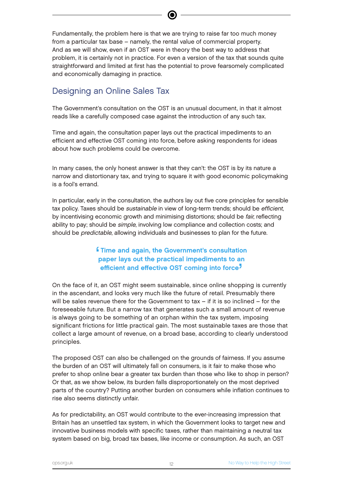Fundamentally, the problem here is that we are trying to raise far too much money from a particular tax base – namely, the rental value of commercial property. And as we will show, even if an OST were in theory the best way to address that problem, it is certainly not in practice. For even a version of the tax that sounds quite straightforward and limited at first has the potential to prove fearsomely complicated and economically damaging in practice.

### Designing an Online Sales Tax

The Government's consultation on the OST is an unusual document, in that it almost reads like a carefully composed case against the introduction of any such tax.

Time and again, the consultation paper lays out the practical impediments to an efficient and effective OST coming into force, before asking respondents for ideas about how such problems could be overcome.

In many cases, the only honest answer is that they can't: the OST is by its nature a narrow and distortionary tax, and trying to square it with good economic policymaking is a fool's errand.

In particular, early in the consultation, the authors lay out five core principles for sensible tax policy. Taxes should be *sustainable* in view of long-term trends; should be *efficient*, by incentivising economic growth and minimising distortions; should be *fair*, reflecting ability to pay; should be *simple*, involving low compliance and collection costs; and should be *predictable*, allowing individuals and businesses to plan for the future.

#### $\frac{1}{1}$ Time and again, the Government's consultation paper lays out the practical impediments to an efficient and effective OST coming into force<sup>7</sup> '

On the face of it, an OST might seem sustainable, since online shopping is currently in the ascendant, and looks very much like the future of retail. Presumably there will be sales revenue there for the Government to tax  $-$  if it is so inclined  $-$  for the foreseeable future. But a narrow tax that generates such a small amount of revenue is always going to be something of an orphan within the tax system, imposing significant frictions for little practical gain. The most sustainable taxes are those that collect a large amount of revenue, on a broad base, according to clearly understood principles.

The proposed OST can also be challenged on the grounds of fairness. If you assume the burden of an OST will ultimately fall on consumers, is it fair to make those who prefer to shop online bear a greater tax burden than those who like to shop in person? Or that, as we show below, its burden falls disproportionately on the most deprived parts of the country? Putting another burden on consumers while inflation continues to rise also seems distinctly unfair.

As for predictability, an OST would contribute to the ever-increasing impression that Britain has an unsettled tax system, in which the Government looks to target new and innovative business models with specific taxes, rather than maintaining a neutral tax system based on big, broad tax bases, like income or consumption. As such, an OST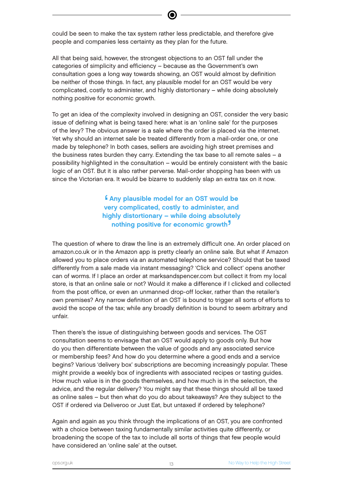could be seen to make the tax system rather less predictable, and therefore give people and companies less certainty as they plan for the future.

All that being said, however, the strongest objections to an OST fall under the categories of simplicity and efficiency – because as the Government's own consultation goes a long way towards showing, an OST would almost by definition be neither of those things. In fact, any plausible model for an OST would be very complicated, costly to administer, and highly distortionary – while doing absolutely nothing positive for economic growth.

To get an idea of the complexity involved in designing an OST, consider the very basic issue of defining what is being taxed here: what is an 'online sale' for the purposes of the levy? The obvious answer is a sale where the order is placed via the internet. Yet why should an internet sale be treated differently from a mail-order one, or one made by telephone? In both cases, sellers are avoiding high street premises and the business rates burden they carry. Extending the tax base to all remote sales – a possibility highlighted in the consultation – would be entirely consistent with the basic logic of an OST. But it is also rather perverse. Mail-order shopping has been with us since the Victorian era. It would be bizarre to suddenly slap an extra tax on it now.

> $\begin{array}{c} 6 \\ 5 \end{array}$ Any plausible model for an OST would be very complicated, costly to administer, and highly distortionary – while doing absolutely nothing positive for economic growth '

The question of where to draw the line is an extremely difficult one. An order placed on amazon.co.uk or in the Amazon app is pretty clearly an online sale. But what if Amazon allowed you to place orders via an automated telephone service? Should that be taxed differently from a sale made via instant messaging? 'Click and collect' opens another can of worms. If I place an order at marksandspencer.com but collect it from my local store, is that an online sale or not? Would it make a difference if I clicked and collected from the post office, or even an unmanned drop-off locker, rather than the retailer's own premises? Any narrow definition of an OST is bound to trigger all sorts of efforts to avoid the scope of the tax; while any broadly definition is bound to seem arbitrary and unfair.

Then there's the issue of distinguishing between goods and services. The OST consultation seems to envisage that an OST would apply to goods only. But how do you then differentiate between the value of goods and any associated service or membership fees? And how do you determine where a good ends and a service begins? Various 'delivery box' subscriptions are becoming increasingly popular. These might provide a weekly box of ingredients with associated recipes or tasting guides. How much value is in the goods themselves, and how much is in the selection, the advice, and the regular delivery? You might say that these things should all be taxed as online sales – but then what do you do about takeaways? Are they subject to the OST if ordered via Deliveroo or Just Eat, but untaxed if ordered by telephone?

Again and again as you think through the implications of an OST, you are confronted with a choice between taxing fundamentally similar activities quite differently, or broadening the scope of the tax to include all sorts of things that few people would have considered an 'online sale' at the outset.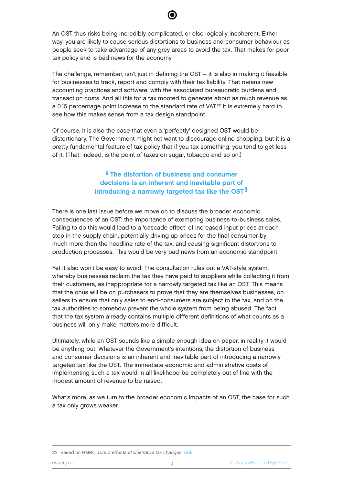An OST thus risks being incredibly complicated, or else logically incoherent. Either way, you are likely to cause serious distortions to business and consumer behaviour as people seek to take advantage of any grey areas to avoid the tax. That makes for poor tax policy and is bad news for the economy.

The challenge, remember, isn't just in defining the OST – it is also in making it feasible for businesses to track, report and comply with their tax liability. That means new accounting practices and software, with the associated bureaucratic burdens and transaction costs. And all this for a tax mooted to generate about as much revenue as a 0.15 percentage point increase to the standard rate of VAT.<sup>22</sup> It is extremely hard to see how this makes sense from a tax design standpoint.

Of course, it is also the case that even a 'perfectly' designed OST would be distortionary. The Government might not want to discourage online shopping, but it is a pretty fundamental feature of tax policy that if you tax something, you tend to get less of it. (That, indeed, is the point of taxes on sugar, tobacco and so on.)

#### e<br>e **f** The distortion of business and consumer decisions is an inherent and inevitable part of introducing a narrowly targeted tax like the OST<sup>7</sup> '

There is one last issue before we move on to discuss the broader economic consequences of an OST: the importance of exempting business-to-business sales. Failing to do this would lead to a 'cascade effect' of increased input prices at each step in the supply chain, potentially driving up prices for the final consumer by much more than the headline rate of the tax, and causing significant distortions to production processes. This would be very bad news from an economic standpoint.

Yet it also won't be easy to avoid. The consultation rules out a VAT-style system, whereby businesses reclaim the tax they have paid to suppliers while collecting it from their customers, as inappropriate for a narrowly targeted tax like an OST. This means that the onus will be on purchasers to prove that they are themselves businesses, on sellers to ensure that only sales to end-consumers are subject to the tax, and on the tax authorities to somehow prevent the whole system from being abused. The fact that the tax system already contains multiple different definitions of what counts as a business will only make matters more difficult.

Ultimately, while an OST sounds like a simple enough idea on paper, in reality it would be anything but. Whatever the Government's intentions, the distortion of business and consumer decisions is an inherent and inevitable part of introducing a narrowly targeted tax like the OST. The immediate economic and administrative costs of implementing such a tax would in all likelihood be completely out of line with the modest amount of revenue to be raised.

What's more, as we turn to the broader economic impacts of an OST, the case for such a tax only grows weaker.

22 Based on HMRC, Direct effects of illustrative tax changes. [Link](https://www.gov.uk/government/statistics/direct-effects-of-illustrative-tax-changes)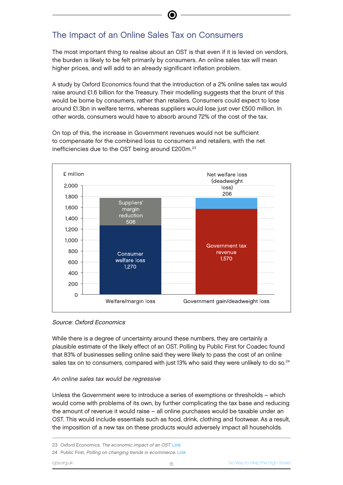# The Impact of an Online Sales Tax on Consumers

The most important thing to realise about an OST is that even if it is levied on vendors, the burden is likely to be felt primarily by consumers. An online sales tax will mean higher prices, and will add to an already significant inflation problem.

A study by Oxford Economics found that the introduction of a 2% online sales tax would raise around £1.6 billion for the Treasury. Their modelling suggests that the brunt of this would be borne by consumers, rather than retailers. Consumers could expect to lose around £1.3bn in welfare terms, whereas suppliers would lose just over £500 million. In other words, consumers would have to absorb around 72% of the cost of the tax.

On top of this, the increase in Government revenues would not be sufficient to compensate for the combined loss to consumers and retailers, with the net inefficiencies due to the OST being around £200m.<sup>23</sup>



#### Source: Oxford Economics

While there is a degree of uncertainty around these numbers, they are certainly a plausible estimate of the likely effect of an OST. Polling by Public First for Coadec found that 83% of businesses selling online said they were likely to pass the cost of an online sales tax on to consumers, compared with just 13% who said they were unlikely to do so. $^{24}$ 

#### An online sales tax would be regressive

Unless the Government were to introduce a series of exemptions or thresholds – which would come with problems of its own, by further complicating the tax base and reducing the amount of revenue it would raise – all online purchases would be taxable under an OST. This would include essentials such as food, drink, clothing and footwear. As a result, the imposition of a new tax on these products would adversely impact all households.

<sup>23</sup> Oxford Economics, The economic impact of an OST. [Link](https://d2rpq8wtqka5kg.cloudfront.net/661739/open20211110032000.pdf?Expires=1650384030&Signature=f66kTAczzNw66K513vk~cjZVc6p3LlR0CDfsgfe3Wi~AVUboK0WlLibAvt38eyNf4dDH2rh9VLkWVK~Bpri5DLIjzt8-TlAY8tz7wIwUstkRfyu1ifPqgYQ99--A8hGl8efY9wIOKiqAswoFG9pCaY-WakQv1NmB68UJrc9ieNxBOmby4BD9Clo4zS6aTkvp1D32NSy4Nr-VIoICGUF5qiPEyaRnzJWGGizfkzoR916e3Nv6gGq4Q8E7Mqujd8h7BLGiYK8GGPV4qtzOBCpk3ZPA2uT-aCgiPP0Y7eWeB4wx-~pwo27iknFM69DQ~fhV-Q~vuc14a5HmIWOwsqm6eQ__&Key-Pair-Id=APKAJVGCNMR6FQV6VYIA)

<sup>24</sup> Public First, Polling on changing trends in ecommerce. [Link](https://www.publicfirst.co.uk/public-first-polling-on-changing-trends-in-ecommerce.html)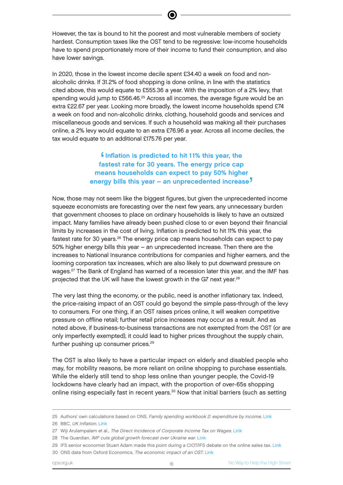However, the tax is bound to hit the poorest and most vulnerable members of society hardest. Consumption taxes like the OST tend to be regressive: low-income households have to spend proportionately more of their income to fund their consumption, and also have lower savings.

In 2020, those in the lowest income decile spent £34.40 a week on food and nonalcoholic drinks. If 31.2% of food shopping is done online, in line with the statistics cited above, this would equate to £555.36 a year. With the imposition of a 2% levy, that spending would jump to £566.46.<sup>25</sup> Across all incomes, the average figure would be an extra £22.67 per year. Looking more broadly, the lowest income households spend £74 a week on food and non-alcoholic drinks, clothing, household goods and services and miscellaneous goods and services. If such a household was making all their purchases online, a 2% levy would equate to an extra £76.96 a year. Across all income deciles, the tax would equate to an additional £175.76 per year.

#### a<br>'a  $\blacksquare$  Inflation is predicted to hit 11% this year, the fastest rate for 30 years. The energy price cap means households can expect to pay 50% higher energy bills this year – an unprecedented increase<sup>7</sup> י<br>.<br>.

Now, those may not seem like the biggest figures, but given the unprecedented income squeeze economists are forecasting over the next few years, any unnecessary burden that government chooses to place on ordinary households is likely to have an outsized impact. Many families have already been pushed close to or even beyond their financial limits by increases in the cost of living. Inflation is predicted to hit 11% this year, the fastest rate for 30 years.<sup>26</sup> The energy price cap means households can expect to pay 50% higher energy bills this year – an unprecedented increase. Then there are the increases to National Insurance contributions for companies and higher earners, and the looming corporation tax increases, which are also likely to put downward pressure on wages.<sup>27</sup> The Bank of England has warned of a recession later this year, and the IMF has projected that the UK will have the lowest growth in the G7 next year.<sup>28</sup>

The very last thing the economy, or the public, need is another inflationary tax. Indeed, the price-raising impact of an OST could go beyond the simple pass-through of the levy to consumers. For one thing, if an OST raises prices online, it will weaken competitive pressure on offline retail; further retail price increases may occur as a result. And as noted above, if business-to-business transactions are not exempted from the OST (or are only imperfectly exempted), it could lead to higher prices throughout the supply chain, further pushing up consumer prices.<sup>29</sup>

The OST is also likely to have a particular impact on elderly and disabled people who may, for mobility reasons, be more reliant on online shopping to purchase essentials. While the elderly still tend to shop less online than younger people, the Covid-19 lockdowns have clearly had an impact, with the proportion of over-65s shopping online rising especially fast in recent years.<sup>30</sup> Now that initial barriers (such as setting

<sup>25</sup> Authors' own calculations based on ONS, Family spending workbook 2: expenditure by income. [Link](https://www.ons.gov.uk/peoplepopulationandcommunity/personalandhouseholdfinances/expenditure/datasets/familyspendingworkbook2expenditurebyincome)

<sup>26</sup> BBC, UK Inflation. [Link](https://www.bbc.co.uk/news/business-12196322)

<sup>27</sup> Wiji Arulampalam et al., The Direct Incidence of Corporate Income Tax on Wages. [Link](http://ftp.iza.org/dp5293.pdf)

<sup>28</sup> The Guardian, IMF cuts global growth forecast over Ukraine war. [Link](https://www.theguardian.com/business/2022/apr/19/imf-cuts-global-growth-forecast-over-ukraine-war)

<sup>29</sup> IFS senior economist Stuart Adam made this point during a CIOT/IFS debate on the online sales tax. [Link](https://www.presenta.co.uk/CIOT/IFS/100522/live-meeting.html)

<sup>30</sup> ONS data from Oxford Economics, The economic impact of an OST. [Link](https://d2rpq8wtqka5kg.cloudfront.net/661739/open20211110032000.pdf?Expires=1650384030&Signature=f66kTAczzNw66K513vk~cjZVc6p3LlR0CDfsgfe3Wi~AVUboK0WlLibAvt38eyNf4dDH2rh9VLkWVK~Bpri5DLIjzt8-TlAY8tz7wIwUstkRfyu1ifPqgYQ99--A8hGl8efY9wIOKiqAswoFG9pCaY-WakQv1NmB68UJrc9ieNxBOmby4BD9Clo4zS6aTkvp1D32NSy4Nr-VIoICGUF5qiPEyaRnzJWGGizfkzoR916e3Nv6gGq4Q8E7Mqujd8h7BLGiYK8GGPV4qtzOBCpk3ZPA2uT-aCgiPP0Y7eWeB4wx-~pwo27iknFM69DQ~fhV-Q~vuc14a5HmIWOwsqm6eQ__&Key-Pair-Id=APKAJVGCNMR6FQV6VYIA)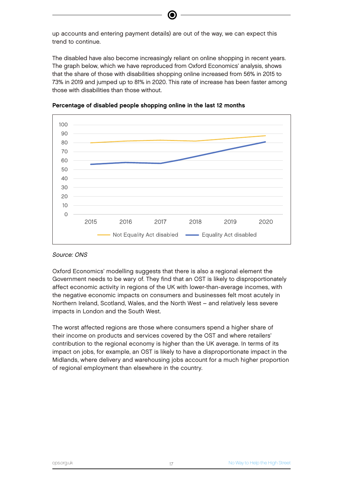up accounts and entering payment details) are out of the way, we can expect this trend to continue.

The disabled have also become increasingly reliant on online shopping in recent years. The graph below, which we have reproduced from Oxford Economics' analysis, shows that the share of those with disabilities shopping online increased from 56% in 2015 to 73% in 2019 and jumped up to 81% in 2020. This rate of increase has been faster among those with disabilities than those without.



#### Percentage of disabled people shopping online in the last 12 months

#### Source: ONS

Oxford Economics' modelling suggests that there is also a regional element the Government needs to be wary of. They find that an OST is likely to disproportionately affect economic activity in regions of the UK with lower-than-average incomes, with the negative economic impacts on consumers and businesses felt most acutely in Northern Ireland, Scotland, Wales, and the North West – and relatively less severe impacts in London and the South West.

The worst affected regions are those where consumers spend a higher share of their income on products and services covered by the OST and where retailers' contribution to the regional economy is higher than the UK average. In terms of its impact on jobs, for example, an OST is likely to have a disproportionate impact in the Midlands, where delivery and warehousing jobs account for a much higher proportion of regional employment than elsewhere in the country.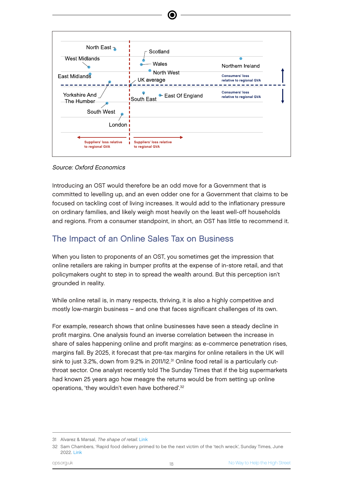

#### Source: Oxford Economics

Introducing an OST would therefore be an odd move for a Government that is committed to levelling up, and an even odder one for a Government that claims to be focused on tackling cost of living increases. It would add to the inflationary pressure on ordinary families, and likely weigh most heavily on the least well-off households and regions. From a consumer standpoint, in short, an OST has little to recommend it.

### The Impact of an Online Sales Tax on Business

When you listen to proponents of an OST, you sometimes get the impression that online retailers are raking in bumper profits at the expense of in-store retail, and that policymakers ought to step in to spread the wealth around. But this perception isn't grounded in reality.

While online retail is, in many respects, thriving, it is also a highly competitive and mostly low-margin business – and one that faces significant challenges of its own.

For example, research shows that online businesses have seen a steady decline in profit margins. One analysis found an inverse correlation between the increase in share of sales happening online and profit margins: as e-commerce penetration rises, margins fall. By 2025, it forecast that pre-tax margins for online retailers in the UK will sink to just 3.2%, down from 9.2% in 2011/12.<sup>31</sup> Online food retail is a particularly cutthroat sector. One analyst recently told The Sunday Times that if the big supermarkets had known 25 years ago how meagre the returns would be from setting up online operations, 'they wouldn't even have bothered'.<sup>32</sup>

<sup>31</sup> Alvarez & Marsal, The shape of retail. [Link](https://www.alvarezandmarsal.com/sites/default/files/true_cost_of_online.pdf)

<sup>32</sup> Sam Chambers, 'Rapid food delivery primed to be the next victim of the 'tech wreck', Sunday Times, June 2022. [Link](https://www.thetimes.co.uk/article/rapid-food-delivery-primed-to-be-the-next-victim-of-the-tech-wreck-qxx03mfp8)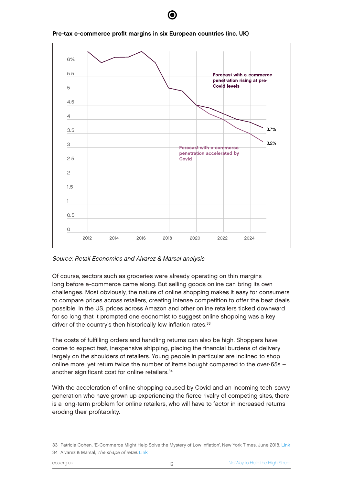

Pre-tax e-commerce profit margins in six European countries (inc. UK)

Source: Retail Economics and Alvarez & Marsal analysis

Of course, sectors such as groceries were already operating on thin margins long before e-commerce came along. But selling goods online can bring its own challenges. Most obviously, the nature of online shopping makes it easy for consumers to compare prices across retailers, creating intense competition to offer the best deals possible. In the US, prices across Amazon and other online retailers ticked downward for so long that it prompted one economist to suggest online shopping was a key driver of the country's then historically low inflation rates.<sup>33</sup>

The costs of fulfilling orders and handling returns can also be high. Shoppers have come to expect fast, inexpensive shipping, placing the financial burdens of delivery largely on the shoulders of retailers. Young people in particular are inclined to shop online more, yet return twice the number of items bought compared to the over-65s – another significant cost for online retailers.<sup>34</sup>

With the acceleration of online shopping caused by Covid and an incoming tech-savvy generation who have grown up experiencing the fierce rivalry of competing sites, there is a long-term problem for online retailers, who will have to factor in increased returns eroding their profitability.

<sup>33</sup> Patricia Cohen, 'E-Commerce Might Help Solve the Mystery of Low Inflation', New York Times, June 2018. [Link](https://www.nytimes.com/2018/06/11/business/economy/inflation-internet.html) 34 Alvarez & Marsal, The shape of retail. [Link](https://www.alvarezandmarsal.com/sites/default/files/true_cost_of_online.pdf)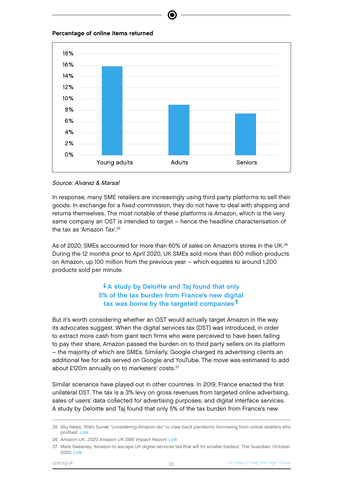

#### Source: Alvarez & Marsal

In response, many SME retailers are increasingly using third party platforms to sell their goods. In exchange for a fixed commission, they do not have to deal with shipping and returns themselves. The most notable of these platforms is Amazon, which is the very same company an OST is intended to target – hence the headline characterisation of the tax as 'Amazon Tax'.<sup>35</sup>

As of 2020, SMEs accounted for more than 60% of sales on Amazon's stores in the UK.<sup>36</sup> During the 12 months prior to April 2020, UK SMEs sold more than 600 million products on Amazon, up 100 million from the previous year – which equates to around 1,200 products sold per minute.

#### $\frac{6}{2}$ A study by Deloitte and Taj found that only 5% of the tax burden from France's new digital tax was borne by the targeted companies<sup>7</sup> **J**

But it's worth considering whether an OST would actually target Amazon in the way its advocates suggest. When the digital services tax (DST) was introduced, in order to extract more cash from giant tech firms who were perceived to have been failing to pay their share, Amazon passed the burden on to third party sellers on its platform – the majority of which are SMEs. Similarly, Google charged its advertising clients an additional fee for ads served on Google and YouTube. The move was estimated to add about £120m annually on to marketers' costs.<sup>37</sup>

Similar scenarios have played out in other countries. In 2019, France enacted the first unilateral DST. The tax is a 3% levy on gross revenues from targeted online advertising, sales of users' data collected for advertising purposes, and digital interface services. A study by Deloitte and Taj found that only 5% of the tax burden from France's new

<sup>35</sup> Sky News, 'Rishi Sunak "considering Amazon tax" to claw back pandemic borrowing from online retailers who profited'. [Link](https://news.sky.com/story/rishi-sunak-considering-amazon-tax-to-claw-back-pandemic-borrowing-from-online-retailers-who-profited-12211857)

<sup>36</sup> Amazon UK, 2020 Amazon UK SME Impact Report. [Link](https://www.aboutamazon.co.uk/news/small-businesses/2020-amazon-uk-sme-impact-report)

<sup>37</sup> Mark Sweeney, 'Amazon to escape UK digital services tax that will hit smaller traders', The Guardian, October 2020. [Link](https://www.theguardian.com/technology/2020/oct/14/amazon-to-escape-uk-digital-services-tax-that-will-hit-smaller-traders)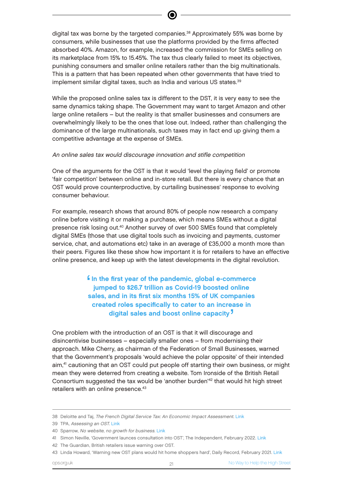digital tax was borne by the targeted companies.<sup>38</sup> Approximately 55% was borne by consumers, while businesses that use the platforms provided by the firms affected absorbed 40%. Amazon, for example, increased the commission for SMEs selling on its marketplace from 15% to 15.45%. The tax thus clearly failed to meet its objectives, punishing consumers and smaller online retailers rather than the big multinationals. This is a pattern that has been repeated when other governments that have tried to implement similar digital taxes, such as India and various US states.<sup>39</sup>

While the proposed online sales tax is different to the DST, it is very easy to see the same dynamics taking shape. The Government may want to target Amazon and other large online retailers – but the reality is that smaller businesses and consumers are overwhelmingly likely to be the ones that lose out. Indeed, rather than challenging the dominance of the large multinationals, such taxes may in fact end up giving them a competitive advantage at the expense of SMEs.

#### An online sales tax would discourage innovation and stifle competition

One of the arguments for the OST is that it would 'level the playing field' or promote 'fair competition' between online and in-store retail. But there is every chance that an OST would prove counterproductive, by curtailing businesses' response to evolving consumer behaviour.

For example, research shows that around 80% of people now research a company online before visiting it or making a purchase, which means SMEs without a digital presence risk losing out.<sup>40</sup> Another survey of over 500 SMEs found that completely digital SMEs (those that use digital tools such as invoicing and payments, customer service, chat, and automations etc) take in an average of £35,000 a month more than their peers. Figures like these show how important it is for retailers to have an effective online presence, and keep up with the latest developments in the digital revolution.

> ' In the first year of the pandemic, global e-commerce jumped to \$26.7 trillion as Covid-19 boosted online sales, and in its first six months 15% of UK companies created roles specifically to cater to an increase in digital sales and boost online capacity<sup>7</sup> '

One problem with the introduction of an OST is that it will discourage and disincentivise businesses – especially smaller ones – from modernising their approach. Mike Cherry, as chairman of the Federation of Small Businesses, warned that the Government's proposals 'would achieve the polar opposite' of their intended aim,<sup>41</sup> cautioning that an OST could put people off starting their own business, or might mean they were deterred from creating a website. Tom Ironside of the British Retail Consortium suggested the tax would be 'another burden'<sup>42</sup> that would hit high street retailers with an online presence.<sup>43</sup>

<sup>38</sup> Deloitte and Taj, The French Digital Service Tax: An Economic Impact Assessment. [Link](https://blog.avocats.deloitte.fr/content/uploads/2020/03/dst-impact-assessment-march-2019.pdf)

<sup>39</sup> TPA, Assessing an OST. [Link](https://d3n8a8pro7vhmx.cloudfront.net/taxpayersalliance/pages/17177/attachments/original/1608560163/Assessing_an_online_sales_tax.pdf?1608560163)

<sup>40</sup> Sparrow, No website, no growth for business. [Link](https://sparrow-creative.co.uk/content/uk-smes-are-losing-money-by-not-having-a-website/)

<sup>41</sup> Simon Neville, 'Government launces consultation into OST', The Independent, February 2022. [Link](https://www.google.com/url?sa=t&rct=j&q=&esrc=s&source=web&cd=&ved=2ahUKEwiV9LKX7JD3AhXRa8AKHZoiBZQQFnoECDUQAQ&url=https%3A%2F%2Fwww.independent.co.uk%2Fnews%2Fuk%2Fbusiness-rates-budget-government-rishi-sunak-chancellor-b2023410.html&usg=AOvVaw2skf-mzYqTu0NfBY6DFzN0)

<sup>42</sup> The Guardian, British retailers issue warning over OST.

<sup>43</sup> Linda Howard, 'Warning new OST plans would hit home shoppers hard', Daily Record, February 2021. [Link](https://www.dailyrecord.co.uk/lifestyle/money/online-sales-tax-23501775)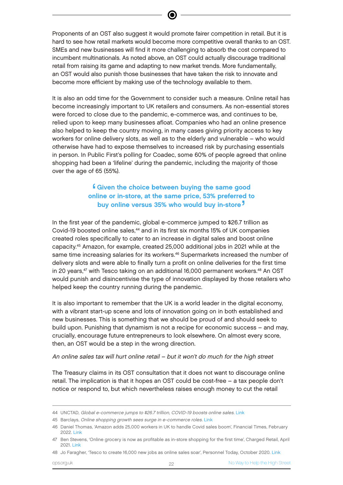Proponents of an OST also suggest it would promote fairer competition in retail. But it is hard to see how retail markets would become more competitive overall thanks to an OST. SMEs and new businesses will find it more challenging to absorb the cost compared to incumbent multinationals. As noted above, an OST could actually discourage traditional retail from raising its game and adapting to new market trends. More fundamentally, an OST would also punish those businesses that have taken the risk to innovate and become more efficient by making use of the technology available to them.

It is also an odd time for the Government to consider such a measure. Online retail has become increasingly important to UK retailers and consumers. As non-essential stores were forced to close due to the pandemic, e-commerce was, and continues to be, relied upon to keep many businesses afloat. Companies who had an online presence also helped to keep the country moving, in many cases giving priority access to key workers for online delivery slots, as well as to the elderly and vulnerable – who would otherwise have had to expose themselves to increased risk by purchasing essentials in person. In Public First's polling for Coadec, some 60% of people agreed that online shopping had been a 'lifeline' during the pandemic, including the majority of those over the age of 65 (55%).

#### ∫<br>n Given the choice between buying the same good online or in-store, at the same price, 53% preferred to buy online versus 35% who would buy in-store<sup>7</sup> '

In the first year of the pandemic, global e-commerce jumped to \$26.7 trillion as Covid-19 boosted online sales,<sup>44</sup> and in its first six months 15% of UK companies created roles specifically to cater to an increase in digital sales and boost online capacity.<sup>45</sup> Amazon, for example, created 25,000 additional jobs in 2021 while at the same time increasing salaries for its workers.<sup>46</sup> Supermarkets increased the number of delivery slots and were able to finally turn a profit on online deliveries for the first time in 20 years, $47$  with Tesco taking on an additional 16,000 permanent workers. $48$  An OST would punish and disincentivise the type of innovation displayed by those retailers who helped keep the country running during the pandemic.

It is also important to remember that the UK is a world leader in the digital economy, with a vibrant start-up scene and lots of innovation going on in both established and new businesses. This is something that we should be proud of and should seek to build upon. Punishing that dynamism is not a recipe for economic success – and may, crucially, encourage future entrepreneurs to look elsewhere. On almost every score, then, an OST would be a step in the wrong direction.

#### An online sales tax will hurt online retail – but it won't do much for the high street

The Treasury claims in its OST consultation that it does not want to discourage online retail. The implication is that it hopes an OST could be cost-free – a tax people don't notice or respond to, but which nevertheless raises enough money to cut the retail

<sup>44</sup> UNCTAD, Global e-commerce jumps to \$26.7 trillion, COVID-19 boosts online sales. [Link](https://unctad.org/news/global-e-commerce-jumps-267-trillion-covid-19-boosts-online-sales)

<sup>45</sup> Barclays, Online shopping growth sees surge in e-commerce roles. [Link](https://home.barclays/news/press-releases/2020/09/online-shopping-growth-sees-surge-in-e-commerce-roles/)

<sup>46</sup> Daniel Thomas, 'Amazon adds 25,000 workers in UK to handle Covid sales boom', Financial Times, February 2022. [Link](https://www.ft.com/content/354328ff-e8a1-48b0-8594-0633de1e149d)

<sup>47</sup> Ben Stevens, 'Online grocery is now as profitable as in-store shopping for the first time', Charged Retail, April 2021. [Link](https://www.chargedretail.co.uk/2021/04/13/online-grocery-is-now-as-profitable-as-instore-shopping-for-the-first-time/)

<sup>48</sup> Jo Faragher, 'Tesco to create 16,000 new jobs as online sales soar', Personnel Today, October 2020. [Link](https://www.personneltoday.com/hr/tesco-to-create-16000-new-jobs-as-online-sales-soar/)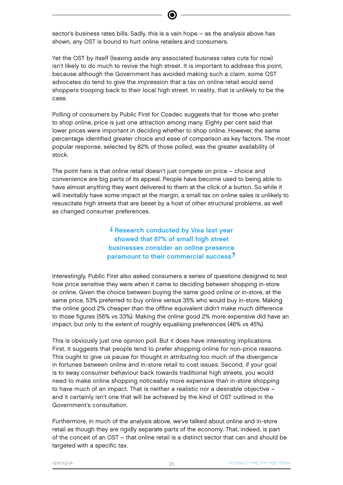sector's business rates bills. Sadly, this is a vain hope – as the analysis above has shown, any OST is bound to hurt online retailers and consumers.

Yet the OST by itself (leaving aside any associated business rates cuts for now) isn't likely to do much to revive the high street. It is important to address this point, because although the Government has avoided making such a claim, some OST advocates do tend to give the impression that a tax on online retail would send shoppers trooping back to their local high street. In reality, that is unlikely to be the case.

Polling of consumers by Public First for Coadec suggests that for those who prefer to shop online, price is just one attraction among many. Eighty per cent said that lower prices were important in deciding whether to shop online. However, the same percentage identified greater choice and ease of comparison as key factors. The most popular response, selected by 82% of those polled, was the greater availability of stock.

The point here is that online retail doesn't just compete on price – choice and convenience are big parts of its appeal. People have become used to being able to have almost anything they want delivered to them at the click of a button. So while it will inevitably have some impact at the margin, a small tax on online sales is unlikely to resuscitate high streets that are beset by a host of other structural problems, as well as changed consumer preferences.

> ' Research conducted by Visa last year showed that 87% of small high street businesses consider an online presence paramount to their commercial success<sup>7</sup> '

Interestingly, Public First also asked consumers a series of questions designed to test how price sensitive they were when it came to deciding between shopping in-store or online. Given the choice between buying the same good online or in-store, at the same price, 53% preferred to buy online versus 35% who would buy in-store. Making the online good 2% cheaper than the offline equivalent didn't make much difference to those figures (56% vs 33%). Making the online good 2% more expensive did have an impact, but only to the extent of roughly equalising preferences (46% vs 45%).

This is obviously just one opinion poll. But it does have interesting implications. First, it suggests that people tend to prefer shopping online for non-price reasons. This ought to give us pause for thought in attributing too much of the divergence in fortunes between online and in-store retail to cost issues. Second, if your goal is to sway consumer behaviour back towards traditional high streets, you would need to make online shopping noticeably more expensive than in-store shopping to have much of an impact. That is neither a realistic nor a desirable objective – and it certainly isn't one that will be achieved by the kind of OST outlined in the Government's consultation.

Furthermore, in much of the analysis above, we've talked about online and in-store retail as though they are rigidly separate parts of the economy. That, indeed, is part of the conceit of an OST – that online retail is a distinct sector that can and should be targeted with a specific tax.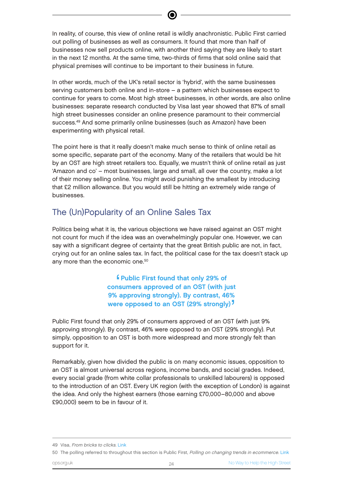In reality, of course, this view of online retail is wildly anachronistic. Public First carried out polling of businesses as well as consumers. It found that more than half of businesses now sell products online, with another third saying they are likely to start in the next 12 months. At the same time, two-thirds of firms that sold online said that physical premises will continue to be important to their business in future.

In other words, much of the UK's retail sector is 'hybrid', with the same businesses serving customers both online and in-store – a pattern which businesses expect to continue for years to come. Most high street businesses, in other words, are also online businesses: separate research conducted by Visa last year showed that 87% of small high street businesses consider an online presence paramount to their commercial success.<sup>49</sup> And some primarily online businesses (such as Amazon) have been experimenting with physical retail.

The point here is that it really doesn't make much sense to think of online retail as some specific, separate part of the economy. Many of the retailers that would be hit by an OST are high street retailers too. Equally, we mustn't think of online retail as just 'Amazon and co' – most businesses, large and small, all over the country, make a lot of their money selling online. You might avoid punishing the smallest by introducing that £2 million allowance. But you would still be hitting an extremely wide range of businesses.

### The (Un)Popularity of an Online Sales Tax

Politics being what it is, the various objections we have raised against an OST might not count for much if the idea was an overwhelmingly popular one. However, we can say with a significant degree of certainty that the great British public are not, in fact, crying out for an online sales tax. In fact, the political case for the tax doesn't stack up any more than the economic one.<sup>50</sup>

> ∫<br>וח Public First found that only 29% of consumers approved of an OST (with just 9% approving strongly). By contrast, 46% were opposed to an OST (29% strongly)<sup>7</sup> '

Public First found that only 29% of consumers approved of an OST (with just 9% approving strongly). By contrast, 46% were opposed to an OST (29% strongly). Put simply, opposition to an OST is both more widespread and more strongly felt than support for it.

Remarkably, given how divided the public is on many economic issues, opposition to an OST is almost universal across regions, income bands, and social grades. Indeed, every social grade (from white collar professionals to unskilled labourers) is opposed to the introduction of an OST. Every UK region (with the exception of London) is against the idea. And only the highest earners (those earning £70,000–80,000 and above £90,000) seem to be in favour of it.

<sup>49</sup> Visa, From bricks to clicks. [Link](https://www.visa.co.uk/where-you-shop-matters/articles/from-bricks-to-clicks.html)

<sup>50</sup> The polling referred to throughout this section is Public First, Polling on changing trends in ecommerce. [Link](https://www.publicfirst.co.uk/public-first-polling-on-changing-trends-in-ecommerce.html)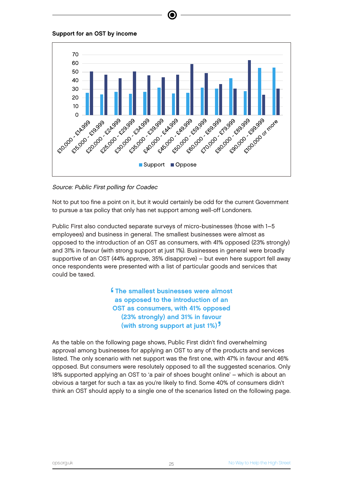



e

Source: Public First polling for Coadec

Not to put too fine a point on it, but it would certainly be odd for the current Government to pursue a tax policy that only has net support among well-off Londoners.

Public First also conducted separate surveys of micro-businesses (those with 1–5 employees) and business in general. The smallest businesses were almost as opposed to the introduction of an OST as consumers, with 41% opposed (23% strongly) and 31% in favour (with strong support at just 1%). Businesses in general were broadly supportive of an OST (44% approve, 35% disapprove) – but even here support fell away once respondents were presented with a list of particular goods and services that could be taxed.

> **∫ f** The smallest businesses were almost as opposed to the introduction of an OST as consumers, with 41% opposed (23% strongly) and 31% in favour (with strong support at just 1%)<sup>}</sup> י<br>.<br>.

As the table on the following page shows, Public First didn't find overwhelming approval among businesses for applying an OST to any of the products and services listed. The only scenario with net support was the first one, with 47% in favour and 46% opposed. But consumers were resolutely opposed to all the suggested scenarios. Only 18% supported applying an OST to 'a pair of shoes bought online' – which is about an obvious a target for such a tax as you're likely to find. Some 40% of consumers didn't think an OST should apply to a single one of the scenarios listed on the following page.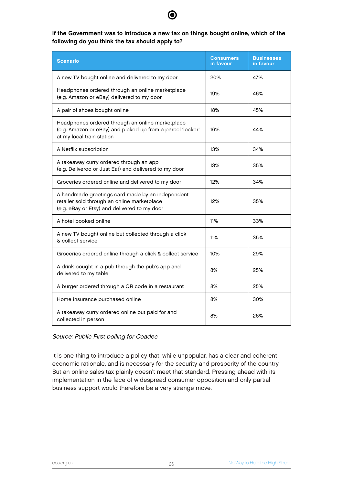#### If the Government was to introduce a new tax on things bought online, which of the following do you think the tax should apply to?

| <b>Scenario</b>                                                                                                                                 | <b>Consumers</b><br>in favour | <b>Businesses</b><br>in favour |
|-------------------------------------------------------------------------------------------------------------------------------------------------|-------------------------------|--------------------------------|
| A new TV bought online and delivered to my door                                                                                                 | 20%                           | 47%                            |
| Headphones ordered through an online marketplace<br>(e.g. Amazon or eBay) delivered to my door                                                  | 19%                           | 46%                            |
| A pair of shoes bought online                                                                                                                   | 18%                           | 45%                            |
| Headphones ordered through an online marketplace<br>(e.g. Amazon or eBay) and picked up from a parcel 'locker'<br>at my local train station     | 16%                           | 44%                            |
| A Netflix subscription                                                                                                                          | 13%                           | 34%                            |
| A takeaway curry ordered through an app<br>(e.g. Deliveroo or Just Eat) and delivered to my door                                                | 13%                           | 35%                            |
| Groceries ordered online and delivered to my door                                                                                               | 12%                           | 34%                            |
| A handmade greetings card made by an independent<br>retailer sold through an online marketplace<br>(e.g. eBay or Etsy) and delivered to my door | 12%                           | 35%                            |
| A hotel booked online                                                                                                                           | 11%                           | 33%                            |
| A new TV bought online but collected through a click<br>& collect service                                                                       | 11%                           | 35%                            |
| Groceries ordered online through a click & collect service                                                                                      | 10%                           | 29%                            |
| A drink bought in a pub through the pub's app and<br>delivered to my table                                                                      | 8%                            | 25%                            |
| A burger ordered through a QR code in a restaurant                                                                                              | 8%                            | 25%                            |
| Home insurance purchased online                                                                                                                 | 8%                            | 30%                            |
| A takeaway curry ordered online but paid for and<br>collected in person                                                                         | 8%                            | 26%                            |

Source: Public First polling for Coadec

It is one thing to introduce a policy that, while unpopular, has a clear and coherent economic rationale, and is necessary for the security and prosperity of the country. But an online sales tax plainly doesn't meet that standard. Pressing ahead with its implementation in the face of widespread consumer opposition and only partial business support would therefore be a very strange move.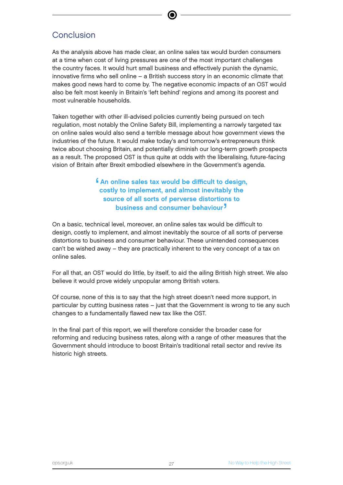### **Conclusion**

As the analysis above has made clear, an online sales tax would burden consumers at a time when cost of living pressures are one of the most important challenges the country faces. It would hurt small business and effectively punish the dynamic, innovative firms who sell online – a British success story in an economic climate that makes good news hard to come by. The negative economic impacts of an OST would also be felt most keenly in Britain's 'left behind' regions and among its poorest and most vulnerable households.

Taken together with other ill-advised policies currently being pursued on tech regulation, most notably the Online Safety Bill, implementing a narrowly targeted tax on online sales would also send a terrible message about how government views the industries of the future. It would make today's and tomorrow's entrepreneurs think twice about choosing Britain, and potentially diminish our long-term growth prospects as a result. The proposed OST is thus quite at odds with the liberalising, future-facing vision of Britain after Brexit embodied elsewhere in the Government's agenda.

#### $\blacksquare$ An online sales tax would be difficult to design, costly to implement, and almost inevitably the source of all sorts of perverse distortions to business and consumer behaviour. **J**

On a basic, technical level, moreover, an online sales tax would be difficult to design, costly to implement, and almost inevitably the source of all sorts of perverse distortions to business and consumer behaviour. These unintended consequences can't be wished away – they are practically inherent to the very concept of a tax on online sales.

For all that, an OST would do little, by itself, to aid the ailing British high street. We also believe it would prove widely unpopular among British voters.

Of course, none of this is to say that the high street doesn't need more support, in particular by cutting business rates – just that the Government is wrong to tie any such changes to a fundamentally flawed new tax like the OST.

In the final part of this report, we will therefore consider the broader case for reforming and reducing business rates, along with a range of other measures that the Government should introduce to boost Britain's traditional retail sector and revive its historic high streets.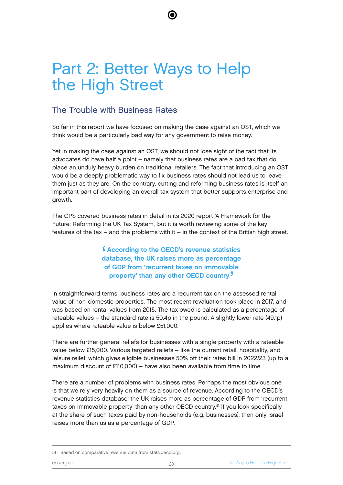# Part 2: Better Ways to Help the High Street

### The Trouble with Business Rates

So far in this report we have focused on making the case against an OST, which we think would be a particularly bad way for any government to raise money.

e

Yet in making the case against an OST, we should not lose sight of the fact that its advocates do have half a point – namely that business rates are a bad tax that do place an unduly heavy burden on traditional retailers. The fact that introducing an OST would be a deeply problematic way to fix business rates should not lead us to leave them just as they are. On the contrary, cutting and reforming business rates is itself an important part of developing an overall tax system that better supports enterprise and growth.

The CPS covered business rates in detail in its 2020 report 'A Framework for the Future: Reforming the UK Tax System', but it is worth reviewing some of the key features of the tax – and the problems with it – in the context of the British high street.

> e<br>d According to the OECD's revenue statistics database, the UK raises more as percentage of GDP from 'recurrent taxes on immovable property' than any other OECD country<sup>7</sup> '

In straightforward terms, business rates are a recurrent tax on the assessed rental value of non-domestic properties. The most recent revaluation took place in 2017, and was based on rental values from 2015. The tax owed is calculated as a percentage of rateable values – the standard rate is 50.4p in the pound. A slightly lower rate (49.1p) applies where rateable value is below £51,000.

There are further general reliefs for businesses with a single property with a rateable value below £15,000. Various targeted reliefs – like the current retail, hospitality, and leisure relief, which gives eligible businesses 50% off their rates bill in 2022/23 (up to a maximum discount of £110,000) – have also been available from time to time.

There are a number of problems with business rates. Perhaps the most obvious one is that we rely very heavily on them as a source of revenue. According to the OECD's revenue statistics database, the UK raises more as percentage of GDP from 'recurrent taxes on immovable property' than any other OECD country.<sup>51</sup> If you look specifically at the share of such taxes paid by non-households (e.g. businesses), then only Israel raises more than us as a percentage of GDP.

<sup>51</sup> Based on comparative revenue data from stats.oecd.org.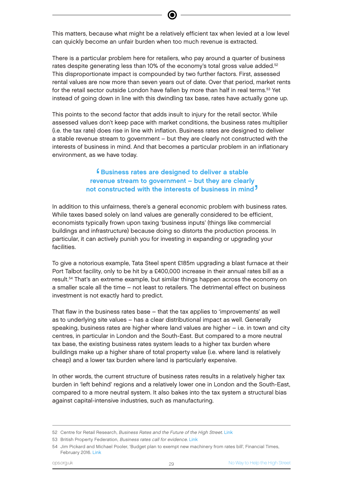This matters, because what might be a relatively efficient tax when levied at a low level can quickly become an unfair burden when too much revenue is extracted.

There is a particular problem here for retailers, who pay around a quarter of business rates despite generating less than 10% of the economy's total gross value added.<sup>52</sup> This disproportionate impact is compounded by two further factors. First, assessed rental values are now more than seven years out of date. Over that period, market rents for the retail sector outside London have fallen by more than half in real terms. <sup>53</sup> Yet instead of going down in line with this dwindling tax base, rates have actually gone up.

This points to the second factor that adds insult to injury for the retail sector. While assessed values don't keep pace with market conditions, the business rates multiplier (i.e. the tax rate) does rise in line with inflation. Business rates are designed to deliver a stable revenue stream to government – but they are clearly not constructed with the interests of business in mind. And that becomes a particular problem in an inflationary environment, as we have today.

#### ' Business rates are designed to deliver a stable revenue stream to government – but they are clearly not constructed with the interests of business in mind<sup>7</sup> '

In addition to this unfairness, there's a general economic problem with business rates. While taxes based solely on land values are generally considered to be efficient, economists typically frown upon taxing 'business inputs' (things like commercial buildings and infrastructure) because doing so distorts the production process. In particular, it can actively punish you for investing in expanding or upgrading your facilities.

To give a notorious example, Tata Steel spent £185m upgrading a blast furnace at their Port Talbot facility, only to be hit by a £400,000 increase in their annual rates bill as a result.<sup>54</sup> That's an extreme example, but similar things happen across the economy on a smaller scale all the time – not least to retailers. The detrimental effect on business investment is not exactly hard to predict.

That flaw in the business rates base – that the tax applies to 'improvements' as well as to underlying site values – has a clear distributional impact as well. Generally speaking, business rates are higher where land values are higher – i.e. in town and city centres, in particular in London and the South-East. But compared to a more neutral tax base, the existing business rates system leads to a higher tax burden where buildings make up a higher share of total property value (i.e. where land is relatively cheap) and a lower tax burden where land is particularly expensive.

In other words, the current structure of business rates results in a relatively higher tax burden in 'left behind' regions and a relatively lower one in London and the South-East, compared to a more neutral system. It also bakes into the tax system a structural bias against capital-intensive industries, such as manufacturing.

<sup>52</sup> Centre for Retail Research, Business Rates and the Future of the High Street. [Link](https://www.retailresearch.org/future-of-the-high-street.html)

<sup>53</sup> British Property Federation, Business rates call for evidence. [Link](https://bpf.org.uk/media/2712/bpf-response-bus-rates-cfe-tranche-1-sept-18-2020.pdf)

<sup>54</sup> Jim Pickard and Michael Pooler, 'Budget plan to exempt new machinery from rates bill', Financial Times, February 2016. [Link](https://www.ft.com/content/  abadf956-dca6-11e5-8541-00fb33bdf038)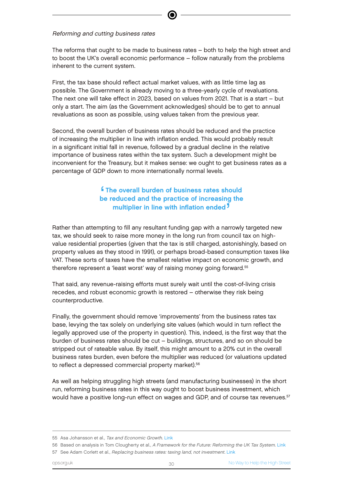Reforming and cutting business rates

The reforms that ought to be made to business rates – both to help the high street and to boost the UK's overall economic performance – follow naturally from the problems inherent to the current system.

First, the tax base should reflect actual market values, with as little time lag as possible. The Government is already moving to a three-yearly cycle of revaluations. The next one will take effect in 2023, based on values from 2021. That is a start – but only a start. The aim (as the Government acknowledges) should be to get to annual revaluations as soon as possible, using values taken from the previous year.

Second, the overall burden of business rates should be reduced and the practice of increasing the multiplier in line with inflation ended. This would probably result in a significant initial fall in revenue, followed by a gradual decline in the relative importance of business rates within the tax system. Such a development might be inconvenient for the Treasury, but it makes sense: we ought to get business rates as a percentage of GDP down to more internationally normal levels.

#### $\frac{6}{5}$ The overall burden of business rates should be reduced and the practice of increasing the multiplier in line with inflation ended<sup>7</sup> י<br>|<br>|

Rather than attempting to fill any resultant funding gap with a narrowly targeted new tax, we should seek to raise more money in the long run from council tax on highvalue residential properties (given that the tax is still charged, astonishingly, based on property values as they stood in 1991), or perhaps broad-based consumption taxes like VAT. These sorts of taxes have the smallest relative impact on economic growth, and therefore represent a 'least worst' way of raising money going forward.<sup>55</sup>

That said, any revenue-raising efforts must surely wait until the cost-of-living crisis recedes, and robust economic growth is restored – otherwise they risk being counterproductive.

Finally, the government should remove 'improvements' from the business rates tax base, levying the tax solely on underlying site values (which would in turn reflect the legally approved use of the property in question). This, indeed, is the first way that the burden of business rates should be cut – buildings, structures, and so on should be stripped out of rateable value. By itself, this might amount to a 20% cut in the overall business rates burden, even before the multiplier was reduced (or valuations updated to reflect a depressed commercial property market).<sup>56</sup>

As well as helping struggling high streets (and manufacturing businesses) in the short run, reforming business rates in this way ought to boost business investment, which would have a positive long-run effect on wages and GDP, and of course tax revenues.<sup>57</sup>

<sup>55</sup> Asa Johansson et al., Tax and Economic Growth. [Link](https://www.oecd.org/tax/tax-policy/41000592.pdf)

<sup>56</sup> Based on analysis in Tom Clougherty et al., A Framework for the Future: Reforming the UK Tax System. [Link](https://files.taxfoundation.org/20201023134831/A-Framework-for-the-Future-Reforming-the-UK-Tax-System-PDF.pdf)

<sup>57</sup> See Adam Corlett et al., Replacing business rates: taxing land, not investment. [Link](https://d3n8a8pro7vhmx.cloudfront.net/libdems/pages/43650/attachments/original/1535560302/Business_Rates.pdf?1535560302)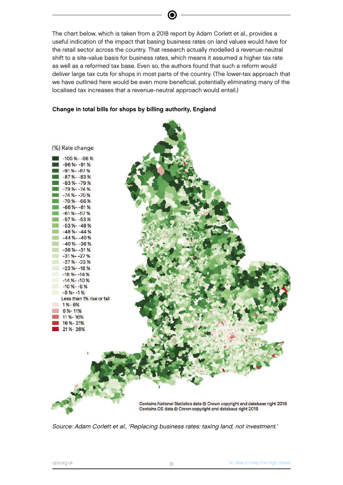The chart below, which is taken from a 2018 report by Adam Corlett et al., provides a useful indication of the impact that basing business rates on land values would have for the retail sector across the country. That research actually modelled a revenue-neutral shift to a site-value basis for business rates, which means it assumed a higher tax rate as well as a reformed tax base. Even so, the authors found that such a reform would deliver large tax cuts for shops in most parts of the country. (The lower-tax approach that we have outlined here would be even more beneficial, potentially eliminating many of the localised tax increases that a revenue-neutral approach would entail.)

#### Change in total bills for shops by billing authority, England



Source: Adam Corlett et al., 'Replacing business rates: taxing land, not investment.'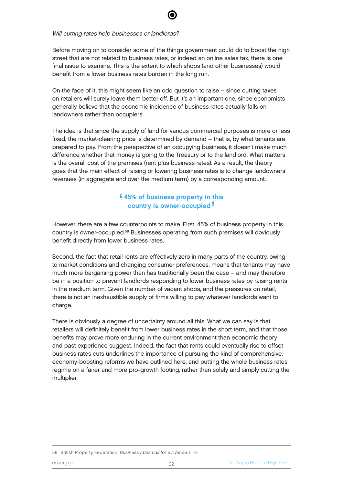#### Will cutting rates help businesses or landlords?

Before moving on to consider some of the things government could do to boost the high street that are not related to business rates, or indeed an online sales tax, there is one final issue to examine. This is the extent to which shops (and other businesses) would benefit from a lower business rates burden in the long run.

On the face of it, this might seem like an odd question to raise – since cutting taxes on retailers will surely leave them better off. But it's an important one, since economists generally believe that the economic incidence of business rates actually falls on landowners rather than occupiers.

The idea is that since the supply of land for various commercial purposes is more or less fixed, the market-clearing price is determined by demand – that is, by what tenants are prepared to pay. From the perspective of an occupying business, it doesn't make much difference whether that money is going to the Treasury or to the landlord. What matters is the overall cost of the premises (rent plus business rates). As a result, the theory goes that the main effect of raising or lowering business rates is to change landowners' revenues (in aggregate and over the medium term) by a corresponding amount.

#### $\blacksquare$ 45% of business property in this country is owner-occupied '

However, there are a few counterpoints to make. First, 45% of business property in this country is owner-occupied.<sup>58</sup> Businesses operating from such premises will obviously benefit directly from lower business rates.

Second, the fact that retail rents are effectively zero in many parts of the country, owing to market conditions and changing consumer preferences, means that tenants may have much more bargaining power than has traditionally been the case – and may therefore be in a position to prevent landlords responding to lower business rates by raising rents in the medium term. Given the number of vacant shops, and the pressures on retail, there is not an inexhaustible supply of firms willing to pay whatever landlords want to charge.

There is obviously a degree of uncertainty around all this. What we can say is that retailers will definitely benefit from lower business rates in the short term, and that those benefits may prove more enduring in the current environment than economic theory and past experience suggest. Indeed, the fact that rents could eventually rise to offset business rates cuts underlines the importance of pursuing the kind of comprehensive, economy-boosting reforms we have outlined here, and putting the whole business rates regime on a fairer and more pro-growth footing, rather than solely and simply cutting the multiplier.

#### 58 British Property Federation, Business rates call for evidence. [Link](https://d3n8a8pro7vhmx.cloudfront.net/libdems/pages/43650/attachments/original/1535560302/Business_Rates.pdf?1535560302)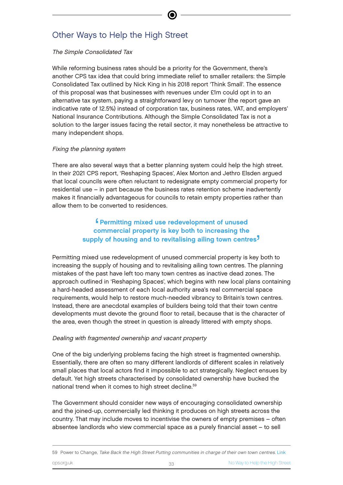# Other Ways to Help the High Street

#### The Simple Consolidated Tax

While reforming business rates should be a priority for the Government, there's another CPS tax idea that could bring immediate relief to smaller retailers: the Simple Consolidated Tax outlined by Nick King in his 2018 report 'Think Small'. The essence of this proposal was that businesses with revenues under £1m could opt in to an alternative tax system, paying a straightforward levy on turnover (the report gave an indicative rate of 12.5%) instead of corporation tax, business rates, VAT, and employers' National Insurance Contributions. Although the Simple Consolidated Tax is not a solution to the larger issues facing the retail sector, it may nonetheless be attractive to many independent shops.

#### Fixing the planning system

There are also several ways that a better planning system could help the high street. In their 2021 CPS report, 'Reshaping Spaces', Alex Morton and Jethro Elsden argued that local councils were often reluctant to redesignate empty commercial property for residential use – in part because the business rates retention scheme inadvertently makes it financially advantageous for councils to retain empty properties rather than allow them to be converted to residences.

#### $\frac{6}{10}$ Permitting mixed use redevelopment of unused commercial property is key both to increasing the supply of housing and to revitalising ailing town centres<sup>7</sup> '

Permitting mixed use redevelopment of unused commercial property is key both to increasing the supply of housing and to revitalising ailing town centres. The planning mistakes of the past have left too many town centres as inactive dead zones. The approach outlined in 'Reshaping Spaces', which begins with new local plans containing a hard-headed assessment of each local authority area's real commercial space requirements, would help to restore much-needed vibrancy to Britain's town centres. Instead, there are anecdotal examples of builders being told that their town centre developments must devote the ground floor to retail, because that is the character of the area, even though the street in question is already littered with empty shops.

#### Dealing with fragmented ownership and vacant property

One of the big underlying problems facing the high street is fragmented ownership. Essentially, there are often so many different landlords of different scales in relatively small places that local actors find it impossible to act strategically. Neglect ensues by default. Yet high streets characterised by consolidated ownership have bucked the national trend when it comes to high street decline.<sup>59</sup>

The Government should consider new ways of encouraging consolidated ownership and the joined-up, commercially led thinking it produces on high streets across the country. That may include moves to incentivise the owners of empty premises – often absentee landlords who view commercial space as a purely financial asset – to sell

<sup>59</sup> Power to Change, Take Back the High Street Putting communities in charge of their own town centres. [Link](https://www.powertochange.org.uk/wp-content/uploads/2019/09/PCT_3619_High_Street_Pamphlet_FINAL_LR.pdf)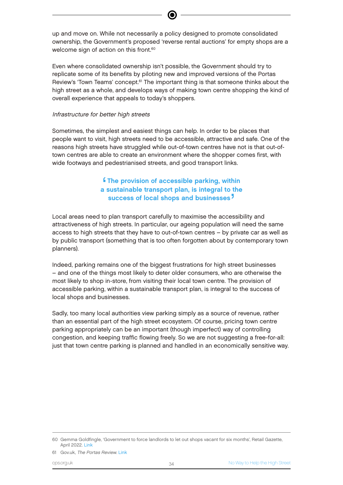up and move on. While not necessarily a policy designed to promote consolidated ownership, the Government's proposed 'reverse rental auctions' for empty shops are a welcome sign of action on this front.<sup>60</sup>

Even where consolidated ownership isn't possible, the Government should try to replicate some of its benefits by piloting new and improved versions of the Portas Review's 'Town Teams' concept.<sup>61</sup> The important thing is that someone thinks about the high street as a whole, and develops ways of making town centre shopping the kind of overall experience that appeals to today's shoppers.

#### Infrastructure for better high streets

Sometimes, the simplest and easiest things can help. In order to be places that people want to visit, high streets need to be accessible, attractive and safe. One of the reasons high streets have struggled while out-of-town centres have not is that out-oftown centres are able to create an environment where the shopper comes first, with wide footways and pedestrianised streets, and good transport links.

#### '<br>a **f** The provision of accessible parking, within a sustainable transport plan, is integral to the success of local shops and businesses<sup>7</sup> '

Local areas need to plan transport carefully to maximise the accessibility and attractiveness of high streets. In particular, our ageing population will need the same access to high streets that they have to out-of-town centres – by private car as well as by public transport (something that is too often forgotten about by contemporary town planners).

Indeed, parking remains one of the biggest frustrations for high street businesses – and one of the things most likely to deter older consumers, who are otherwise the most likely to shop in-store, from visiting their local town centre. The provision of accessible parking, within a sustainable transport plan, is integral to the success of local shops and businesses.

Sadly, too many local authorities view parking simply as a source of revenue, rather than an essential part of the high street ecosystem. Of course, pricing town centre parking appropriately can be an important (though imperfect) way of controlling congestion, and keeping traffic flowing freely. So we are not suggesting a free-for-all: just that town centre parking is planned and handled in an economically sensitive way.

<sup>60</sup> Gemma Goldfingle, 'Government to force landlords to let out shops vacant for six months', Retail Gazette, April 2022. [Link](https://www.retailgazette.co.uk/blog/2022/04/government-to-force-landlords-to-let-out-shops-vacant-for-six-months/)

<sup>61</sup> Gov.uk, The Portas Review. [Link](https://assets.publishing.service.gov.uk/government/uploads/system/uploads/attachment_data/file/6292/2081646.pdf)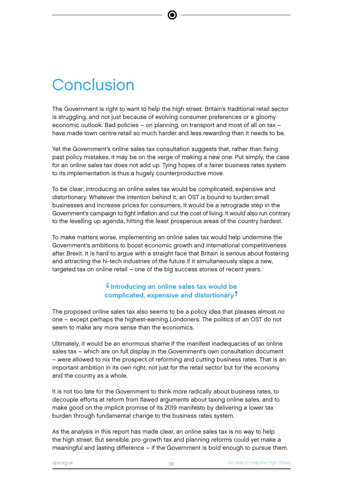# **Conclusion**

The Government is right to want to help the high street. Britain's traditional retail sector is struggling, and not just because of evolving consumer preferences or a gloomy economic outlook. Bad policies – on planning, on transport and most of all on tax – have made town centre retail so much harder and less rewarding than it needs to be.

Yet the Government's online sales tax consultation suggests that, rather than fixing past policy mistakes, it may be on the verge of making a new one. Put simply, the case for an online sales tax does not add up. Tying hopes of a fairer business rates system to its implementation is thus a hugely counterproductive move.

To be clear: introducing an online sales tax would be complicated, expensive and distortionary. Whatever the intention behind it, an OST is bound to burden small businesses and increase prices for consumers. It would be a retrograde step in the Government's campaign to fight inflation and cut the cost of living. It would also run contrary to the levelling up agenda, hitting the least prosperous areas of the country hardest.

To make matters worse, implementing an online sales tax would help undermine the Government's ambitions to boost economic growth and international competitiveness after Brexit. It is hard to argue with a straight face that Britain is serious about fostering and attracting the hi-tech industries of the future if it simultaneously slaps a new, targeted tax on online retail – one of the big success stories of recent years.

#### e<br>Co Introducing an online sales tax would be complicated, expensive and distortionary<sup>7</sup> **'**

The proposed online sales tax also seems to be a policy idea that pleases almost no one – except perhaps the highest-earning Londoners. The politics of an OST do not seem to make any more sense than the economics.

Ultimately, it would be an enormous shame if the manifest inadequacies of an online sales tax – which are on full display in the Government's own consultation document – were allowed to nix the prospect of reforming and cutting business rates. That is an important ambition in its own right, not just for the retail sector but for the economy and the country as a whole.

It is not too late for the Government to think more radically about business rates, to decouple efforts at reform from flawed arguments about taxing online sales, and to make good on the implicit promise of its 2019 manifesto by delivering a lower tax burden through fundamental change to the business rates system.

As the analysis in this report has made clear, an online sales tax is no way to help the high street. But sensible, pro-growth tax and planning reforms could yet make a meaningful and lasting difference – if the Government is bold enough to pursue them.